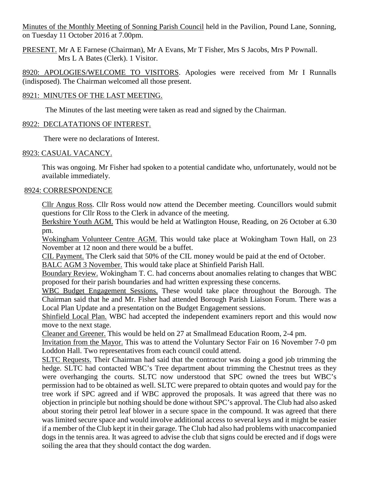Minutes of the Monthly Meeting of Sonning Parish Council held in the Pavilion, Pound Lane, Sonning, on Tuesday 11 October 2016 at 7.00pm.

PRESENT. Mr A E Farnese (Chairman), Mr A Evans, Mr T Fisher, Mrs S Jacobs, Mrs P Pownall. Mrs L A Bates (Clerk). 1 Visitor.

8920: APOLOGIES/WELCOME TO VISITORS. Apologies were received from Mr I Runnalls (indisposed). The Chairman welcomed all those present.

# 8921: MINUTES OF THE LAST MEETING.

The Minutes of the last meeting were taken as read and signed by the Chairman.

# 8922: DECLATATIONS OF INTEREST.

There were no declarations of Interest.

# 8923: CASUAL VACANCY.

This was ongoing. Mr Fisher had spoken to a potential candidate who, unfortunately, would not be available immediately.

# 8924: CORRESPONDENCE

Cllr Angus Ross. Cllr Ross would now attend the December meeting. Councillors would submit questions for Cllr Ross to the Clerk in advance of the meeting.

Berkshire Youth AGM. This would be held at Watlington House, Reading, on 26 October at 6.30 pm.

Wokingham Volunteer Centre AGM. This would take place at Wokingham Town Hall, on 23 November at 12 noon and there would be a buffet.

CIL Payment. The Clerk said that 50% of the CIL money would be paid at the end of October. BALC AGM 3 November. This would take place at Shinfield Parish Hall.

Boundary Review. Wokingham T. C. had concerns about anomalies relating to changes that WBC proposed for their parish boundaries and had written expressing these concerns.

WBC Budget Engagement Sessions. These would take place throughout the Borough. The Chairman said that he and Mr. Fisher had attended Borough Parish Liaison Forum. There was a Local Plan Update and a presentation on the Budget Engagement sessions.

Shinfield Local Plan. WBC had accepted the independent examiners report and this would now move to the next stage.

Cleaner and Greener. This would be held on 27 at Smallmead Education Room, 2-4 pm.

Invitation from the Mayor. This was to attend the Voluntary Sector Fair on 16 November 7-0 pm Loddon Hall. Two representatives from each council could attend.

SLTC Requests. Their Chairman had said that the contractor was doing a good job trimming the hedge. SLTC had contacted WBC's Tree department about trimming the Chestnut trees as they were overhanging the courts. SLTC now understood that SPC owned the trees but WBC's permission had to be obtained as well. SLTC were prepared to obtain quotes and would pay for the tree work if SPC agreed and if WBC approved the proposals. It was agreed that there was no objection in principle but nothing should be done without SPC's approval. The Club had also asked about storing their petrol leaf blower in a secure space in the compound. It was agreed that there was limited secure space and would involve additional access to several keys and it might be easier if a member of the Club kept it in their garage. The Club had also had problems with unaccompanied dogs in the tennis area. It was agreed to advise the club that signs could be erected and if dogs were soiling the area that they should contact the dog warden.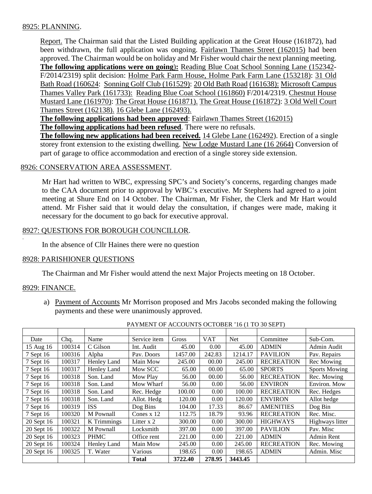# 8925: PLANNING.

Report. The Chairman said that the Listed Building application at the Great House (161872), had been withdrawn, the full application was ongoing. Fairlawn Thames Street (162015) had been approved. The Chairman would be on holiday and Mr Fisher would chair the next planning meeting. **The following applications were on going**)**:** Reading Blue Coat School Sonning Lane (152342- F/2014/2319) split decision: Holme Park Farm House, Holme Park Farm Lane (153218): 31 Old Bath Road (160624: Sonning Golf Club (161529): 20 Old Bath Road (161638): Microsoft Campus Thames Valley Park (161733): Reading Blue Coat School (161860) F/2014/2319. Chestnut House Mustard Lane (161970): The Great House (161871). The Great House (161872): 3 Old Well Court Thames Street (162138). 16 Glebe Lane (162493).

**The following applications had been approved**: Fairlawn Thames Street (162015) **The following applications had been refused**. There were no refusals.

**The following new applications had been received.** 14 Glebe Lane (162492). Erection of a single storey front extension to the existing dwelling. New Lodge Mustard Lane (16 2664) Conversion of part of garage to office accommodation and erection of a single storey side extension.

### 8926: CONSERVATION AREA ASSESSMENT.

Mr Hart had written to WBC, expressing SPC's and Society's concerns, regarding changes made to the CAA document prior to approval by WBC's executive. Mr Stephens had agreed to a joint meeting at Shure End on 14 October. The Chairman, Mr Fisher, the Clerk and Mr Hart would attend. Mr Fisher said that it would delay the consultation, if changes were made, making it necessary for the document to go back for executive approval.

### 8927: QUESTIONS FOR BOROUGH COUNCILLOR.

In the absence of Cllr Haines there were no question

### 8928: PARISHIONER QUESTIONS

The Chairman and Mr Fisher would attend the next Major Projects meeting on 18 October.

#### 8929: FINANCE.

.

a) Payment of Accounts Mr Morrison proposed and Mrs Jacobs seconded making the following payments and these were unanimously approved.

| Date       | Chq.   | Name        | Service item | Gross   | <b>VAT</b> | <b>Net</b> | Committee         | Sub-Com.             |
|------------|--------|-------------|--------------|---------|------------|------------|-------------------|----------------------|
| 15 Aug 16  | 100314 | C Gilson    | Int. Audit   | 45.00   | 0.00       | 45.00      | <b>ADMIN</b>      | Admin Audit          |
| 7 Sept 16  | 100316 | Alpha       | Pav. Doors   | 1457.00 | 242.83     | 1214.17    | <b>PAVILION</b>   | Pav. Repairs         |
| 7 Sept 16  | 100317 | Henley Land | Main Mow     | 245.00  | 00.00      | 245.00     | <b>RECREATION</b> | Rec Mowing           |
| 7 Sept 16  | 100317 | Henley Land | Mow SCC      | 65.00   | 00.00      | 65.00      | <b>SPORTS</b>     | <b>Sports Mowing</b> |
| 7 Sept 16  | 100318 | Son. Land   | Mow Play     | 56.00   | 00.00      | 56.00      | <b>RECREATION</b> | Rec. Mowing          |
| 7 Sept 16  | 100318 | Son. Land   | Mow Wharf    | 56.00   | 0.00       | 56.00      | <b>ENVIRON</b>    | Environ. Mow         |
| 7 Sept 16  | 100318 | Son. Land   | Rec. Hedge   | 100.00  | 0.00       | 100.00     | <b>RECREATION</b> | Rec. Hedges          |
| 7 Sept 16  | 100318 | Son. Land   | Allot. Hedg  | 120.00  | 0.00       | 120.00     | <b>ENVIRON</b>    | Allot hedge          |
| 7 Sept 16  | 100319 | <b>ISS</b>  | Dog Bins     | 104.00  | 17.33      | 86.67      | <b>AMENITIES</b>  | Dog Bin              |
| 7 Sept 16  | 100320 | M Pownall   | Cones $x$ 12 | 112.75  | 18.79      | 93.96      | <b>RECREATION</b> | Rec. Misc.           |
| 20 Sept 16 | 100321 | K Trimmings | Litter $x$ 2 | 300.00  | 0.00       | 300.00     | <b>HIGHWAYS</b>   | Highways litter      |
| 20 Sept 16 | 100322 | M Pownall   | Locksmith    | 397.00  | 0.00       | 397.00     | <b>PAVILION</b>   | Pav. Misc            |
| 20 Sept 16 | 100323 | <b>PHMC</b> | Office rent  | 221.00  | 0.00       | 221.00     | <b>ADMIN</b>      | Admin Rent           |
| 20 Sept 16 | 100324 | Henley Land | Main Mow     | 245.00  | 0.00       | 245.00     | <b>RECREATION</b> | Rec. Mowing          |
| 20 Sept 16 | 100325 | T. Water    | Various      | 198.65  | 0.00       | 198.65     | <b>ADMIN</b>      | Admin. Misc          |
|            |        |             | <b>Total</b> | 3722.40 | 278.95     | 3443.45    |                   |                      |

PAYMENT OF ACCOUNTS OCTOBER '16 (1 TO 30 SEPT)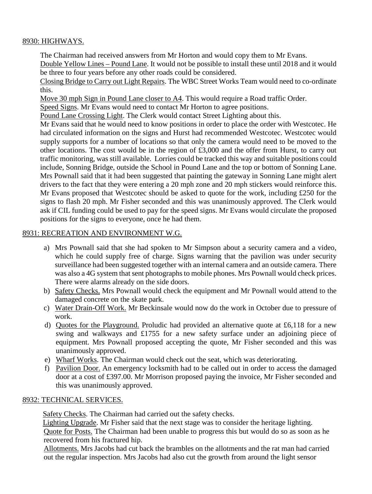# 8930: HIGHWAYS.

The Chairman had received answers from Mr Horton and would copy them to Mr Evans. Double Yellow Lines – Pound Lane. It would not be possible to install these until 2018 and it would be three to four years before any other roads could be considered.

Closing Bridge to Carry out Light Repairs. The WBC Street Works Team would need to co-ordinate this.

Move 30 mph Sign in Pound Lane closer to A4. This would require a Road traffic Order.

Speed Signs. Mr Evans would need to contact Mr Horton to agree positions.

Pound Lane Crossing Light. The Clerk would contact Street Lighting about this.

Mr Evans said that he would need to know positions in order to place the order with Westcotec. He had circulated information on the signs and Hurst had recommended Westcotec. Westcotec would supply supports for a number of locations so that only the camera would need to be moved to the other locations. The cost would be in the region of £3,000 and the offer from Hurst, to carry out traffic monitoring, was still available. Lorries could be tracked this way and suitable positions could include, Sonning Bridge, outside the School in Pound Lane and the top or bottom of Sonning Lane. Mrs Pownall said that it had been suggested that painting the gateway in Sonning Lane might alert drivers to the fact that they were entering a 20 mph zone and 20 mph stickers would reinforce this. Mr Evans proposed that Westcotec should be asked to quote for the work, including £250 for the signs to flash 20 mph. Mr Fisher seconded and this was unanimously approved. The Clerk would ask if CIL funding could be used to pay for the speed signs. Mr Evans would circulate the proposed positions for the signs to everyone, once he had them.

# 8931: RECREATION AND ENVIRONMENT W.G.

- a) Mrs Pownall said that she had spoken to Mr Simpson about a security camera and a video, which he could supply free of charge. Signs warning that the pavilion was under security surveillance had been suggested together with an internal camera and an outside camera. There was also a 4G system that sent photographs to mobile phones. Mrs Pownall would check prices. There were alarms already on the side doors.
- b) Safety Checks. Mrs Pownall would check the equipment and Mr Pownall would attend to the damaged concrete on the skate park.
- c) Water Drain-Off Work. Mr Beckinsale would now do the work in October due to pressure of work.
- d) Quotes for the Playground. Proludic had provided an alternative quote at £6,118 for a new swing and walkways and £1755 for a new safety surface under an adjoining piece of equipment. Mrs Pownall proposed accepting the quote, Mr Fisher seconded and this was unanimously approved.
- e) Wharf Works. The Chairman would check out the seat, which was deteriorating.
- f) Pavilion Door. An emergency locksmith had to be called out in order to access the damaged door at a cost of £397.00. Mr Morrison proposed paying the invoice, Mr Fisher seconded and this was unanimously approved.

### 8932: TECHNICAL SERVICES.

Safety Checks. The Chairman had carried out the safety checks.

 Lighting Upgrade. Mr Fisher said that the next stage was to consider the heritage lighting. Quote for Posts. The Chairman had been unable to progress this but would do so as soon as he recovered from his fractured hip.

Allotments. Mrs Jacobs had cut back the brambles on the allotments and the rat man had carried out the regular inspection. Mrs Jacobs had also cut the growth from around the light sensor